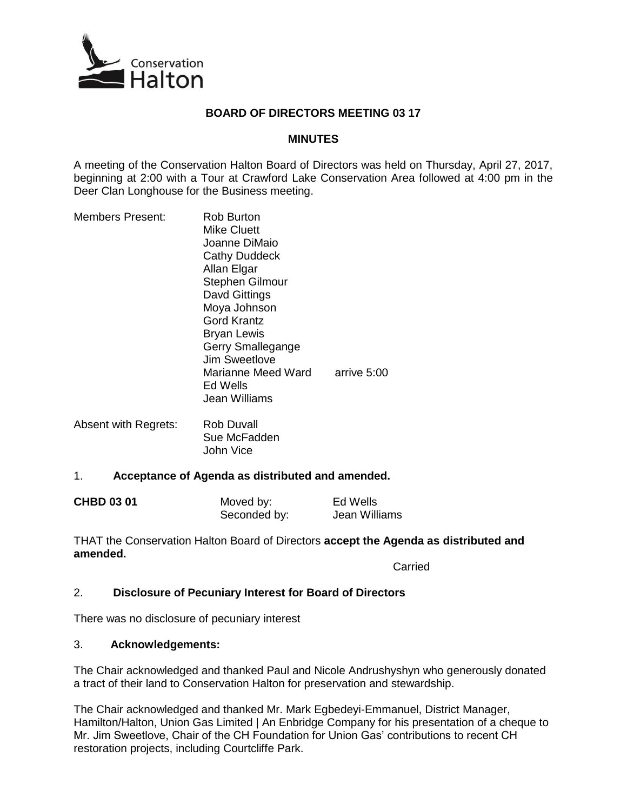

# **BOARD OF DIRECTORS MEETING 03 17**

## **MINUTES**

A meeting of the Conservation Halton Board of Directors was held on Thursday, April 27, 2017, beginning at 2:00 with a Tour at Crawford Lake Conservation Area followed at 4:00 pm in the Deer Clan Longhouse for the Business meeting.

| <b>Members Present:</b> | Rob Burton                                      |             |
|-------------------------|-------------------------------------------------|-------------|
|                         | Mike Cluett                                     |             |
|                         | Joanne DiMaio                                   |             |
|                         | Cathy Duddeck                                   |             |
|                         | Allan Elgar                                     |             |
|                         | <b>Stephen Gilmour</b>                          |             |
|                         | Davd Gittings                                   |             |
|                         | Moya Johnson                                    |             |
|                         | <b>Gord Krantz</b>                              |             |
|                         | <b>Bryan Lewis</b>                              |             |
|                         | Gerry Smallegange                               |             |
|                         | Jim Sweetlove                                   |             |
|                         | Marianne Meed Ward<br>Ed Wells<br>Jean Williams | arrive 5:00 |
|                         |                                                 |             |

Absent with Regrets: Rob Duvall Sue McFadden John Vice

#### 1. **Acceptance of Agenda as distributed and amended.**

| <b>CHBD 03 01</b> | Moved by:    | Ed Wells      |
|-------------------|--------------|---------------|
|                   | Seconded by: | Jean Williams |

THAT the Conservation Halton Board of Directors **accept the Agenda as distributed and amended.**

Carried

# 2. **Disclosure of Pecuniary Interest for Board of Directors**

There was no disclosure of pecuniary interest

#### 3. **Acknowledgements:**

The Chair acknowledged and thanked Paul and Nicole Andrushyshyn who generously donated a tract of their land to Conservation Halton for preservation and stewardship.

The Chair acknowledged and thanked Mr. Mark Egbedeyi-Emmanuel, District Manager, Hamilton/Halton, Union Gas Limited | An Enbridge Company for his presentation of a cheque to Mr. Jim Sweetlove, Chair of the CH Foundation for Union Gas' contributions to recent CH restoration projects, including Courtcliffe Park.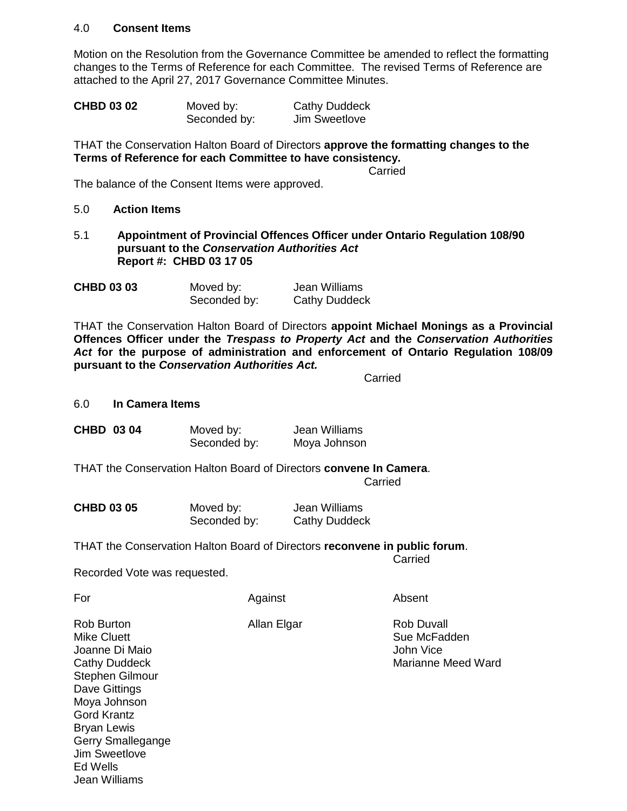#### 4.0 **Consent Items**

Motion on the Resolution from the Governance Committee be amended to reflect the formatting changes to the Terms of Reference for each Committee. The revised Terms of Reference are attached to the April 27, 2017 Governance Committee Minutes.

| <b>CHBD 03 02</b> | Moved by:    | <b>Cathy Duddeck</b> |
|-------------------|--------------|----------------------|
|                   | Seconded by: | Jim Sweetlove        |

THAT the Conservation Halton Board of Directors **approve the formatting changes to the Terms of Reference for each Committee to have consistency.**

Carried

The balance of the Consent Items were approved.

- 5.0 **Action Items**
- 5.1 **Appointment of Provincial Offences Officer under Ontario Regulation 108/90 pursuant to the** *Conservation Authorities Act* **Report #: CHBD 03 17 05**

| <b>CHBD 03 03</b> | Moved by:    | Jean Williams        |
|-------------------|--------------|----------------------|
|                   | Seconded by: | <b>Cathy Duddeck</b> |

THAT the Conservation Halton Board of Directors **appoint Michael Monings as a Provincial Offences Officer under the** *Trespass to Property Act* **and the** *Conservation Authorities Act* **for the purpose of administration and enforcement of Ontario Regulation 108/09 pursuant to the** *Conservation Authorities Act.*

Carried

6.0 **In Camera Items**

| CHBD 03 04 | Moved by:    | Jean Williams |
|------------|--------------|---------------|
|            | Seconded by: | Moya Johnson  |

THAT the Conservation Halton Board of Directors **convene In Camera**. **Carried** 

| <b>CHBD 03 05</b> | Moved by:    | Jean Williams        |
|-------------------|--------------|----------------------|
|                   | Seconded by: | <b>Cathy Duddeck</b> |

THAT the Conservation Halton Board of Directors **reconvene in public forum**. Carried

Recorded Vote was requested.

| For                                                                                                                                                                                                                               | Against     | Absent                                                               |
|-----------------------------------------------------------------------------------------------------------------------------------------------------------------------------------------------------------------------------------|-------------|----------------------------------------------------------------------|
| Rob Burton<br>Mike Cluett<br>Joanne Di Maio<br>Cathy Duddeck<br>Stephen Gilmour<br>Dave Gittings<br>Moya Johnson<br><b>Gord Krantz</b><br><b>Bryan Lewis</b><br>Gerry Smallegange<br>Jim Sweetlove<br>Ed Wells<br>. lean Williams | Allan Elgar | <b>Rob Duvall</b><br>Sue McFadden<br>John Vice<br>Marianne Meed Ward |
|                                                                                                                                                                                                                                   |             |                                                                      |